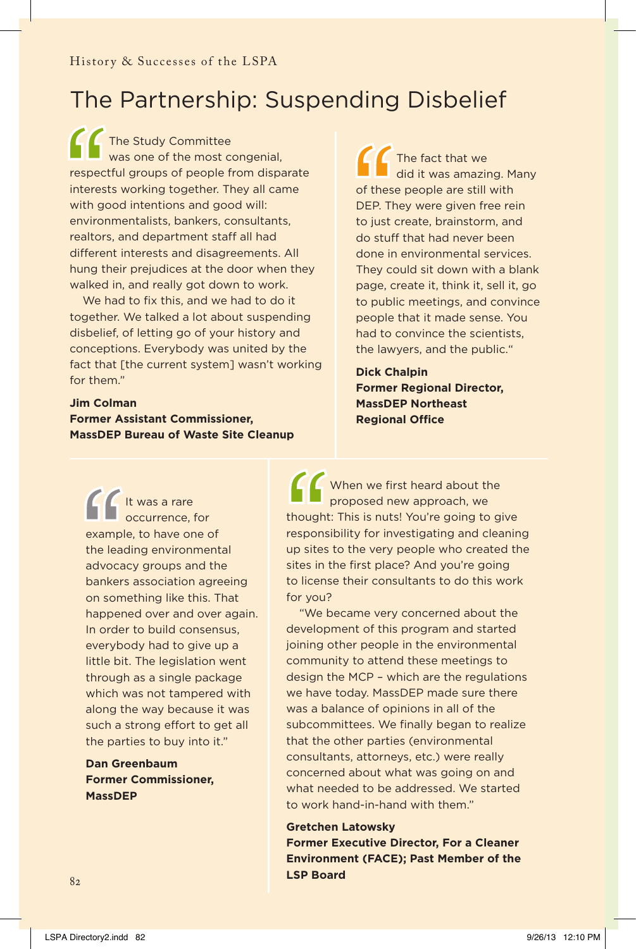## The Partnership: Suspending Disbelief

**CC** The Study Committee was one of the most congenial. respectful groups of people from disparate interests working together. They all came with good intentions and good will: environmentalists, bankers, consultants, realtors, and department staff all had different interests and disagreements. All hung their prejudices at the door when they walked in, and really got down to work.

We had to fix this, and we had to do it together. We talked a lot about suspending disbelief, of letting go of your history and conceptions. Everybody was united by the fact that [the current system] wasn't working for them."

**Jim Colman Former Assistant Commissioner, MassDEP Bureau of Waste Site Cleanup**

**CCC** The fact that we did it was amazing. Many of these people are still with DEP. They were given free rein to just create, brainstorm, and do stuff that had never been done in environmental services. They could sit down with a blank page, create it, think it, sell it, go to public meetings, and convince people that it made sense. You had to convince the scientists, the lawyers, and the public."

**Dick Chalpin Former Regional Director, MassDEP Northeast Regional Office** 

It was a rare occurrence, for example, to have one of the leading environmental advocacy groups and the bankers association agreeing on something like this. That happened over and over again. In order to build consensus, everybody had to give up a little bit. The legislation went through as a single package which was not tampered with along the way because it was such a strong effort to get all the parties to buy into it."

**Dan Greenbaum Former Commissioner, MassDEP**

When we first heard about the proposed new approach, we thought: This is nuts! You're going to give responsibility for investigating and cleaning up sites to the very people who created the sites in the first place? And you're going to license their consultants to do this work for you?

"We became very concerned about the development of this program and started joining other people in the environmental community to attend these meetings to design the MCP – which are the regulations we have today. MassDEP made sure there was a balance of opinions in all of the subcommittees. We finally began to realize that the other parties (environmental consultants, attorneys, etc.) were really concerned about what was going on and what needed to be addressed. We started to work hand-in-hand with them."

**Gretchen Latowsky Former Executive Director, For a Cleaner Environment (FACE); Past Member of the LSP Board**